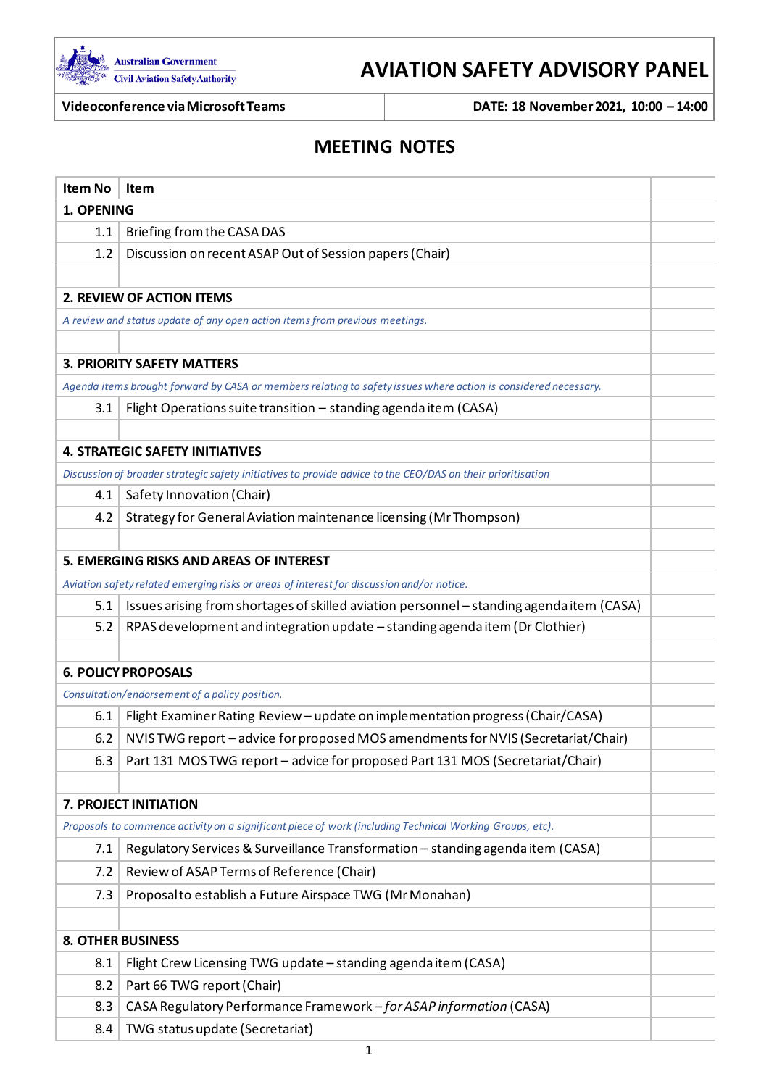

# **AVIATION SAFETY ADVISORY PANEL**

**Videoconference via Microsoft Teams DATE: 18 November2021, 10:00 – 14:00**

# **MEETING NOTES**

| <b>Item No</b> | <b>Item</b>                                                                                                     |  |
|----------------|-----------------------------------------------------------------------------------------------------------------|--|
| 1. OPENING     |                                                                                                                 |  |
| 1.1            | Briefing from the CASA DAS                                                                                      |  |
| 1.2            | Discussion on recent ASAP Out of Session papers (Chair)                                                         |  |
|                |                                                                                                                 |  |
|                | 2. REVIEW OF ACTION ITEMS                                                                                       |  |
|                | A review and status update of any open action items from previous meetings.                                     |  |
|                |                                                                                                                 |  |
|                | <b>3. PRIORITY SAFETY MATTERS</b>                                                                               |  |
|                | Agenda items brought forward by CASA or members relating to safety issues where action is considered necessary. |  |
| 3.1            | Flight Operations suite transition - standing agenda item (CASA)                                                |  |
|                |                                                                                                                 |  |
|                | <b>4. STRATEGIC SAFETY INITIATIVES</b>                                                                          |  |
|                | Discussion of broader strategic safety initiatives to provide advice to the CEO/DAS on their prioritisation     |  |
| 4.1            | Safety Innovation (Chair)                                                                                       |  |
| 4.2            | Strategy for General Aviation maintenance licensing (Mr Thompson)                                               |  |
|                |                                                                                                                 |  |
|                | 5. EMERGING RISKS AND AREAS OF INTEREST                                                                         |  |
|                | Aviation safety related emerging risks or areas of interest for discussion and/or notice.                       |  |
| 5.1            | Issues arising from shortages of skilled aviation personnel - standing agenda item (CASA)                       |  |
| 5.2            | RPAS development and integration update - standing agenda item (Dr Clothier)                                    |  |
|                |                                                                                                                 |  |
|                | <b>6. POLICY PROPOSALS</b>                                                                                      |  |
|                | Consultation/endorsement of a policy position.                                                                  |  |
| 6.1            | Flight Examiner Rating Review - update on implementation progress (Chair/CASA)                                  |  |
| 6.2            | NVIS TWG report - advice for proposed MOS amendments for NVIS (Secretariat/Chair)                               |  |
| 6.3            | Part 131 MOS TWG report - advice for proposed Part 131 MOS (Secretariat/Chair)                                  |  |
|                |                                                                                                                 |  |
|                | 7. PROJECT INITIATION                                                                                           |  |
|                | Proposals to commence activity on a significant piece of work (including Technical Working Groups, etc).        |  |
| 7.1            | Regulatory Services & Surveillance Transformation - standing agenda item (CASA)                                 |  |
| 7.2            | Review of ASAP Terms of Reference (Chair)                                                                       |  |
| 7.3            | Proposal to establish a Future Airspace TWG (Mr Monahan)                                                        |  |
|                |                                                                                                                 |  |
|                | <b>8. OTHER BUSINESS</b>                                                                                        |  |
| 8.1            | Flight Crew Licensing TWG update - standing agenda item (CASA)                                                  |  |
| 8.2            | Part 66 TWG report (Chair)                                                                                      |  |
| 8.3            | CASA Regulatory Performance Framework - for ASAP information (CASA)                                             |  |
| 8.4            | TWG status update (Secretariat)                                                                                 |  |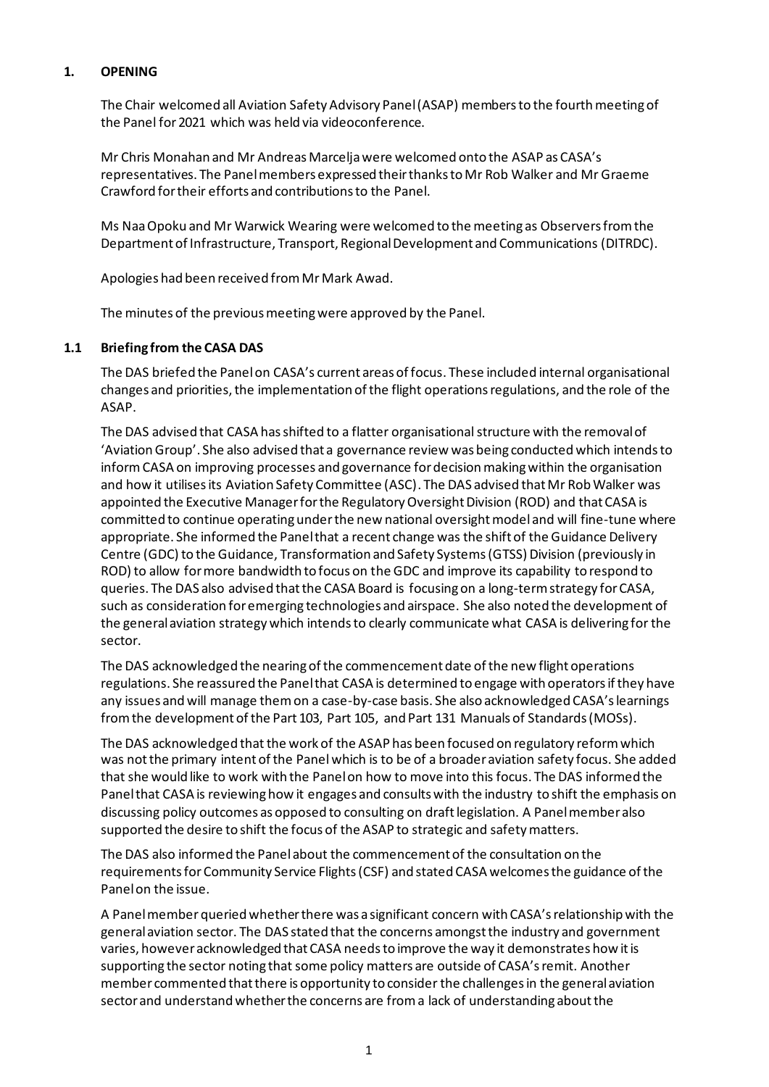# **1. OPENING**

The Chair welcomed all Aviation Safety Advisory Panel (ASAP) members to the fourthmeeting of the Panel for 2021 which was held via videoconference.

Mr Chris Monahan and Mr Andreas Marcelja were welcomed onto the ASAP as CASA's representatives. The Panelmembers expressed their thanks to Mr Rob Walker and Mr Graeme Crawford for their efforts and contributions to the Panel.

Ms Naa Opoku and Mr Warwick Wearing were welcomed to the meeting as Observers from the Department of Infrastructure, Transport, Regional Development and Communications (DITRDC).

Apologies had been received from Mr Mark Awad.

The minutes of the previous meeting were approved by the Panel.

#### **1.1 Briefing from the CASA DAS**

The DAS briefed the Panel on CASA's current areas of focus. These included internal organisational changes and priorities, the implementation of the flight operations regulations, and the role of the ASAP.

The DAS advised that CASA has shifted to a flatter organisational structure with the removal of 'Aviation Group'. She also advised that a governance review was being conducted which intends to informCASA on improving processes and governance for decision making within the organisation and how it utilises its Aviation Safety Committee (ASC). The DAS advised that Mr Rob Walker was appointed the Executive Manager for the Regulatory Oversight Division (ROD) and that CASA is committed to continue operating under the new national oversight model and will fine-tune where appropriate. She informed the Panel that a recent change was the shift of the Guidance Delivery Centre (GDC) to the Guidance, Transformation and Safety Systems (GTSS) Division (previously in ROD) to allow for more bandwidth to focus on the GDC and improve its capability to respond to queries. The DAS also advised that the CASA Board is focusing on a long-term strategy for CASA, such as consideration for emerging technologies and airspace. She also noted the development of the general aviation strategy which intends to clearly communicate what CASA is delivering for the sector.

The DAS acknowledged the nearing of the commencement date of the new flight operations regulations. She reassured the Panel that CASA is determined to engage with operators if they have any issues and will manage them on a case-by-case basis. She also acknowledged CASA's learnings from the development of the Part 103, Part 105, and Part 131 Manuals of Standards (MOSs).

The DAS acknowledged that the work of the ASAP has been focused on regulatory reform which was not the primary intent of the Panel which is to be of a broader aviation safety focus. She added that she would like to work with the Panel on how to move into this focus. The DAS informed the Panel that CASA is reviewing how it engages and consults with the industry to shift the emphasis on discussing policy outcomes as opposed to consulting on draft legislation. A Panel member also supported the desire to shift the focus of the ASAP to strategic and safety matters.

The DAS also informed the Panel about the commencement of the consultation on the requirements for Community Service Flights (CSF) and stated CASA welcomes the guidance of the Panel on the issue.

A Panel member queried whether there was a significant concern with CASA's relationship with the general aviation sector. The DAS stated that the concerns amongst the industry and government varies, however acknowledged that CASA needs to improve the way it demonstrates how it is supporting the sector noting that some policy matters are outside of CASA's remit. Another member commented that there is opportunity to consider the challenges in the general aviation sector and understand whether the concerns are from a lack of understanding about the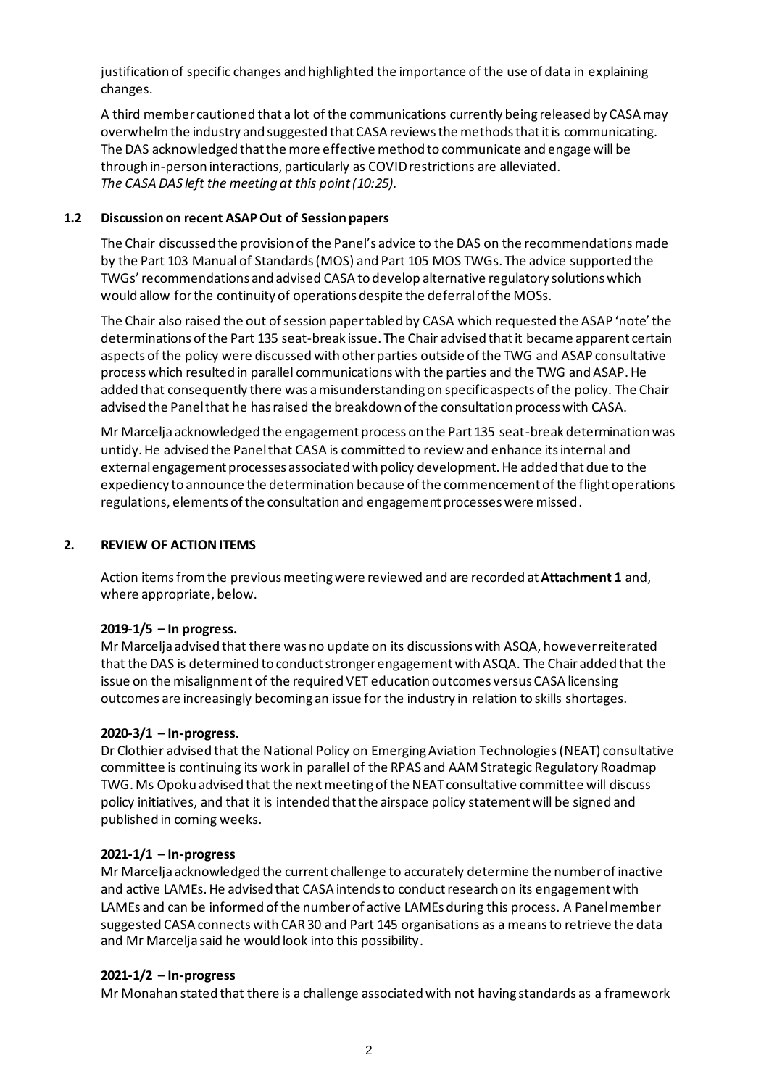justification of specific changes and highlighted the importance of the use of data in explaining changes.

A third member cautioned that a lot of the communications currently being released by CASA may overwhelm the industry and suggested that CASA reviews the methods that it is communicating. The DAS acknowledged that the more effective method to communicate and engage will be through in-person interactions, particularly as COVID restrictions are alleviated. *The CASA DAS left the meeting at this point (10:25).*

#### **1.2 Discussion on recent ASAP Out of Session papers**

The Chair discussed the provision of the Panel's advice to the DAS on the recommendations made by the Part 103 Manual of Standards (MOS) and Part 105 MOS TWGs. The advice supported the TWGs' recommendations and advised CASA to develop alternative regulatory solutionswhich would allow for the continuity of operations despite the deferral of the MOSs.

The Chair also raised the out of session paper tabled by CASA which requested the ASAP 'note' the determinations of the Part 135 seat-break issue. The Chair advised that it became apparent certain aspects of the policy were discussed with other parties outside of the TWG and ASAP consultative process which resulted in parallel communications with the parties and the TWG and ASAP. He added that consequently there was a misunderstanding on specific aspects of the policy. The Chair advised the Panel that he has raised the breakdown of the consultation process with CASA.

Mr Marcelja acknowledged the engagement process on the Part 135 seat-break determination was untidy. He advised the Panel that CASA is committed to review and enhance its internal and external engagement processes associated with policy development. He added that due to the expediency to announce the determination because of the commencement of the flight operations regulations, elements of the consultation and engagement processes were missed.

# **2. REVIEW OF ACTIONITEMS**

Action items from the previous meeting were reviewed and are recorded at **Attachment 1** and, where appropriate, below.

#### **2019-1/5 – In progress.**

Mr Marcelja advised that there was no update on its discussions with ASQA, however reiterated that the DAS is determined to conduct stronger engagement with ASQA. The Chair added that the issue on the misalignment of the required VET education outcomes versus CASA licensing outcomes are increasingly becoming an issue for the industry in relation to skills shortages.

#### **2020-3/1 – In-progress.**

Dr Clothier advised that the National Policy on Emerging Aviation Technologies (NEAT) consultative committee is continuing its work in parallel of the RPAS and AAM Strategic Regulatory Roadmap TWG. Ms Opoku advised that the next meeting of the NEAT consultative committee will discuss policy initiatives, and that it is intended that the airspace policy statement will be signed and published in coming weeks.

#### **2021-1/1 – In-progress**

Mr Marcelja acknowledged the current challenge to accurately determine the number of inactive and active LAMEs. He advised that CASA intends to conduct research on its engagement with LAMEs and can be informed of the number of active LAMEs during this process. A Panel member suggested CASA connects with CAR30 and Part 145 organisations as a means to retrieve the data and Mr Marcelja said he would look into this possibility.

#### **2021-1/2 – In-progress**

Mr Monahan stated that there is a challenge associated with not having standards as a framework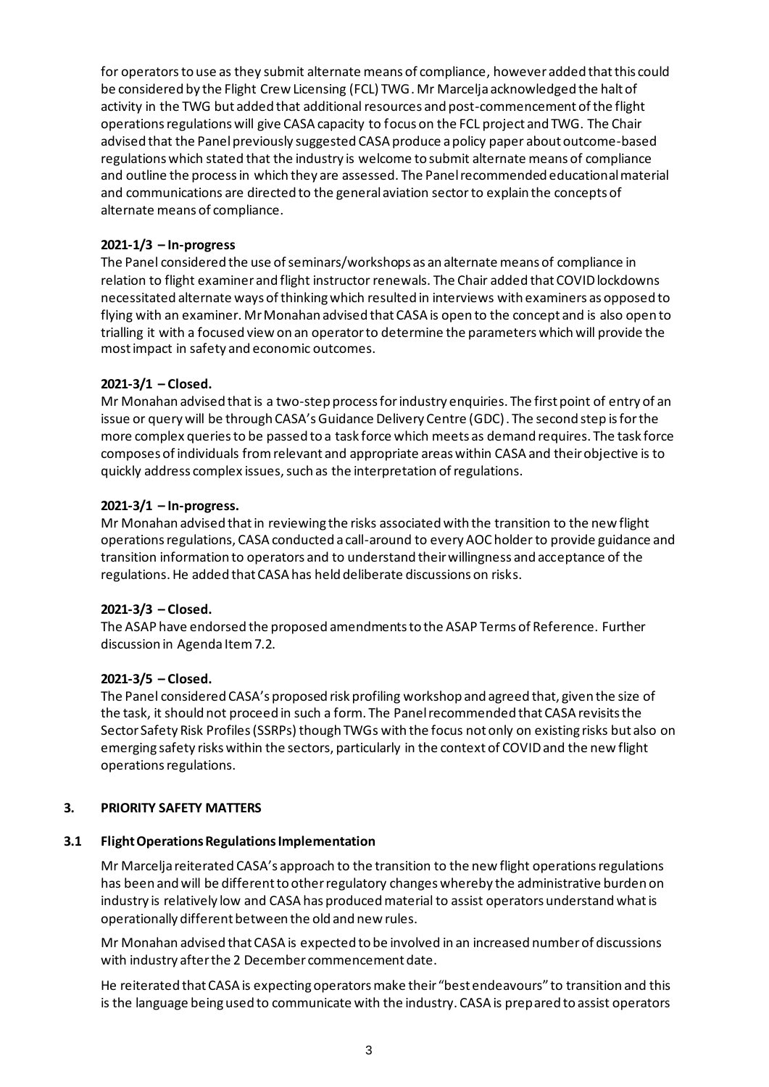for operators to use as they submit alternate means of compliance, however added that this could be considered by the Flight Crew Licensing (FCL) TWG. Mr Marcelja acknowledged the halt of activity in the TWG but added that additional resources and post-commencement of the flight operations regulations will give CASA capacity to focus on the FCL project and TWG. The Chair advised that the Panel previously suggested CASA produce a policy paper about outcome-based regulations which stated that the industry is welcome to submit alternate means of compliance and outline the process in which they are assessed. The Panel recommended educationalmaterial and communications are directed to the general aviation sectorto explain the concepts of alternate means of compliance.

# **2021-1/3 – In-progress**

The Panel considered the use of seminars/workshops as an alternate means of compliance in relation to flight examiner and flight instructor renewals. The Chair added that COVID lockdowns necessitated alternate ways of thinking which resulted in interviews with examiners as opposed to flying with an examiner. Mr Monahan advised that CASA is open to the concept and is also open to trialling it with a focused view on an operator to determine the parameters which will provide the most impact in safety and economic outcomes.

# **2021-3/1 – Closed.**

Mr Monahan advised that is a two-step process for industry enquiries. The first point of entry of an issue or query will be through CASA's Guidance Delivery Centre (GDC). The second step is for the more complex queries to be passed to a task force which meets as demand requires. The task force composes of individuals fromrelevant and appropriate areas within CASA and their objective is to quickly address complex issues, such as the interpretation of regulations.

# **2021-3/1 – In-progress.**

Mr Monahan advised that in reviewing the risks associated with the transition to the new flight operations regulations, CASA conducted a call-around to every AOC holder to provide guidance and transition information to operators and to understand their willingness and acceptance of the regulations. He added that CASA has held deliberate discussions on risks.

# **2021-3/3 – Closed.**

The ASAP have endorsed the proposed amendments to the ASAP Terms of Reference. Further discussion in Agenda Item 7.2.

# **2021-3/5 – Closed.**

The Panel considered CASA's proposed risk profiling workshop and agreed that, given the size of the task, it should not proceed in such a form. The Panel recommended that CASA revisits the Sector Safety Risk Profiles (SSRPs) though TWGs with the focus not only on existing risks but also on emerging safety risks within the sectors, particularly in the context of COVID and the new flight operations regulations.

# **3. PRIORITY SAFETY MATTERS**

# **3.1 Flight Operations Regulations Implementation**

Mr Marcelja reiterated CASA's approach to the transition to the new flight operations regulations has been and will be different to other regulatory changes whereby the administrative burden on industry is relatively low and CASA has produced material to assist operators understand what is operationally different between the old and new rules.

Mr Monahan advised that CASA is expected to be involved in an increased numberof discussions with industry after the 2 December commencement date.

He reiterated that CASA is expecting operators make their "best endeavours" to transition and this is the language being used to communicate with the industry. CASA is prepared to assist operators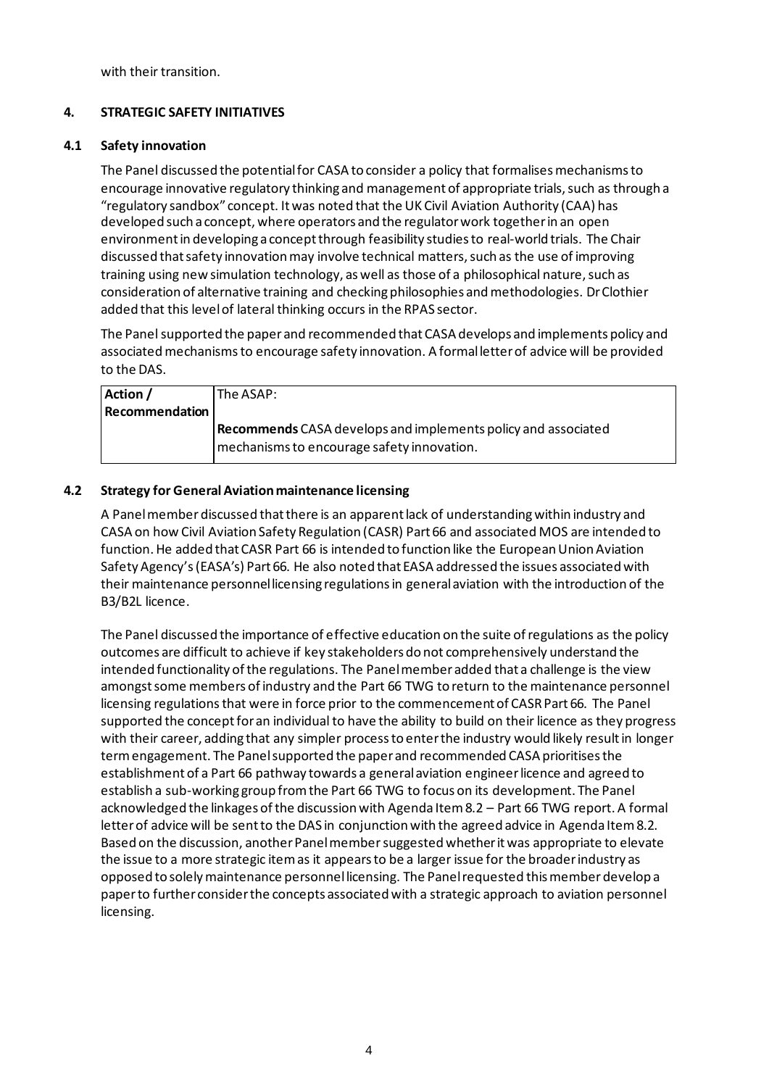with their transition.

# **4. STRATEGIC SAFETY INITIATIVES**

#### **4.1 Safety innovation**

The Panel discussed the potential for CASA to consider a policy that formalises mechanisms to encourage innovative regulatory thinking and management of appropriate trials, such as through a "regulatory sandbox" concept. It was noted that the UK Civil Aviation Authority (CAA) has developed such a concept, where operators and the regulator work together in an open environment in developing a concept through feasibility studies to real-world trials. The Chair discussed that safety innovation may involve technical matters, such as the use of improving training using new simulation technology, as well as those of a philosophical nature, such as consideration of alternative training and checking philosophies and methodologies. Dr Clothier added that this level of lateral thinking occurs in the RPAS sector.

The Panel supported the paper and recommended that CASA develops and implements policy and associated mechanismsto encourage safety innovation. A formal letter of advice will be provided to the DAS.

| Action /              | The ASAP: l                                                          |
|-----------------------|----------------------------------------------------------------------|
| <b>Recommendation</b> |                                                                      |
|                       | <b>Recommends</b> CASA develops and implements policy and associated |
|                       | mechanisms to encourage safety innovation.                           |

#### **4.2 Strategy for General Aviation maintenance licensing**

A Panel member discussed that there is an apparent lack of understanding within industry and CASA on how Civil Aviation Safety Regulation (CASR) Part 66 and associated MOS are intended to function. He added that CASR Part 66 is intended to function like the European Union Aviation Safety Agency's (EASA's) Part 66. He also noted that EASA addressed the issues associated with their maintenance personnel licensing regulations in general aviation with the introduction of the B3/B2L licence.

The Panel discussed the importance of effective education on the suite of regulations as the policy outcomes are difficult to achieve if key stakeholders do not comprehensively understand the intended functionality of the regulations. The Panel member added that a challenge is the view amongst some members of industry and the Part 66 TWG to return to the maintenance personnel licensing regulations that were in force prior to the commencement of CASR Part 66. The Panel supported the concept for an individual to have the ability to build on their licence as they progress with their career, adding that any simpler process to enter the industry would likely result in longer term engagement. The Panel supported the paper and recommended CASA prioritises the establishment of a Part 66 pathway towards a general aviation engineerlicence and agreed to establish a sub-working group from the Part 66 TWG to focus on its development. The Panel acknowledged the linkages of the discussion with Agenda Item 8.2 – Part 66 TWG report. A formal letter of advice will be sent to the DAS in conjunction with the agreed advice in Agenda Item 8.2. Based on the discussion, another Panel member suggested whether it was appropriate to elevate the issue to a more strategic item as it appears to be a larger issue for the broader industry as opposed to solely maintenance personnel licensing. The Panel requested this member develop a paper to further consider the concepts associated with a strategic approach to aviation personnel licensing.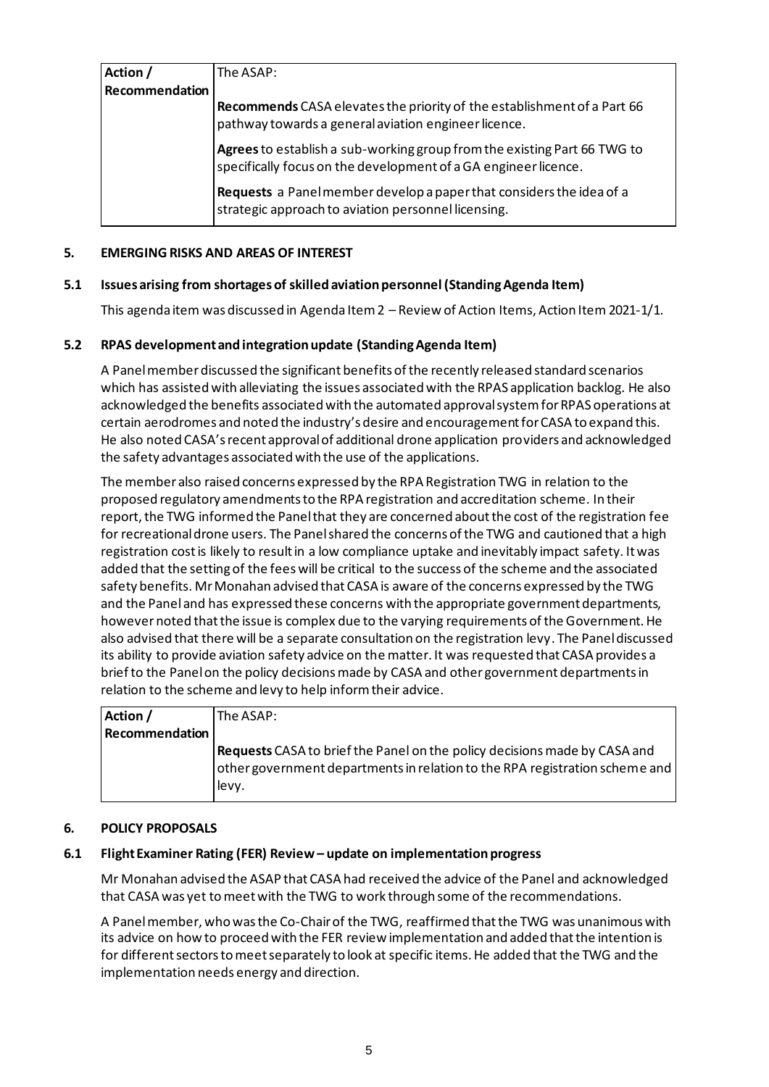| Action /       | The ASAP:                                                                                                                                   |
|----------------|---------------------------------------------------------------------------------------------------------------------------------------------|
| Recommendation |                                                                                                                                             |
|                | Recommends CASA elevates the priority of the establishment of a Part 66<br>pathway towards a general aviation engineer licence.             |
|                | Agrees to establish a sub-working group from the existing Part 66 TWG to<br>specifically focus on the development of a GA engineer licence. |
|                | <b>Requests</b> a Panel member develop a paper that considers the idea of a<br>strategic approach to aviation personnel licensing.          |

## **5. EMERGING RISKS AND AREAS OF INTEREST**

#### **5.1 Issues arising from shortages of skilled aviation personnel (Standing Agenda Item)**

This agenda item was discussed in Agenda Item 2 – Review of Action Items, Action Item 2021-1/1.

#### **5.2 RPAS development and integration update (Standing Agenda Item)**

A Panel member discussed the significant benefits of the recently released standard scenarios which has assisted with alleviating the issues associated with the RPAS application backlog. He also acknowledged the benefits associated with the automated approval system for RPAS operations at certain aerodromes and noted the industry's desire and encouragement for CASA to expand this. He also noted CASA's recent approval of additional drone application providers and acknowledged the safety advantages associated with the use of the applications.

The member also raised concerns expressed by the RPA Registration TWG in relation to the proposed regulatory amendments to the RPA registration and accreditation scheme. In their report, the TWG informed the Panel that they are concerned about the cost of the registration fee for recreational drone users. The Panel shared the concerns of the TWG and cautioned that a high registration cost is likely to result in a low compliance uptake and inevitably impact safety. It was added that the setting of the fees will be critical to the success of the scheme and the associated safety benefits. Mr Monahan advised that CASA is aware of the concerns expressed by the TWG and the Panel and has expressed these concerns with the appropriate government departments, howevernoted that the issue is complex due to the varying requirements of the Government. He also advised that there will be a separate consultation on the registration levy. The Panel discussed its ability to provide aviation safety advice on the matter. It was requested that CASA provides a brief to the Panel on the policy decisions made by CASA and other government departments in relation to the scheme and levy to help inform their advice.

| Action /              | The ASAP:                                                                                                                                                          |
|-----------------------|--------------------------------------------------------------------------------------------------------------------------------------------------------------------|
| <b>Recommendation</b> |                                                                                                                                                                    |
|                       | Requests CASA to brief the Panel on the policy decisions made by CASA and<br>other government departments in relation to the RPA registration scheme and<br>llevy. |

#### **6. POLICY PROPOSALS**

#### **6.1 Flight Examiner Rating (FER) Review – update on implementation progress**

Mr Monahan advised the ASAP that CASA had received the advice of the Panel and acknowledged that CASA was yet to meet with the TWG to work through some of the recommendations.

A Panelmember, who was the Co-Chair of the TWG, reaffirmed that the TWG was unanimous with its advice on how to proceed with the FER review implementation and added that the intention is for different sectors to meet separately to look at specific items. He added that the TWG and the implementation needs energy and direction.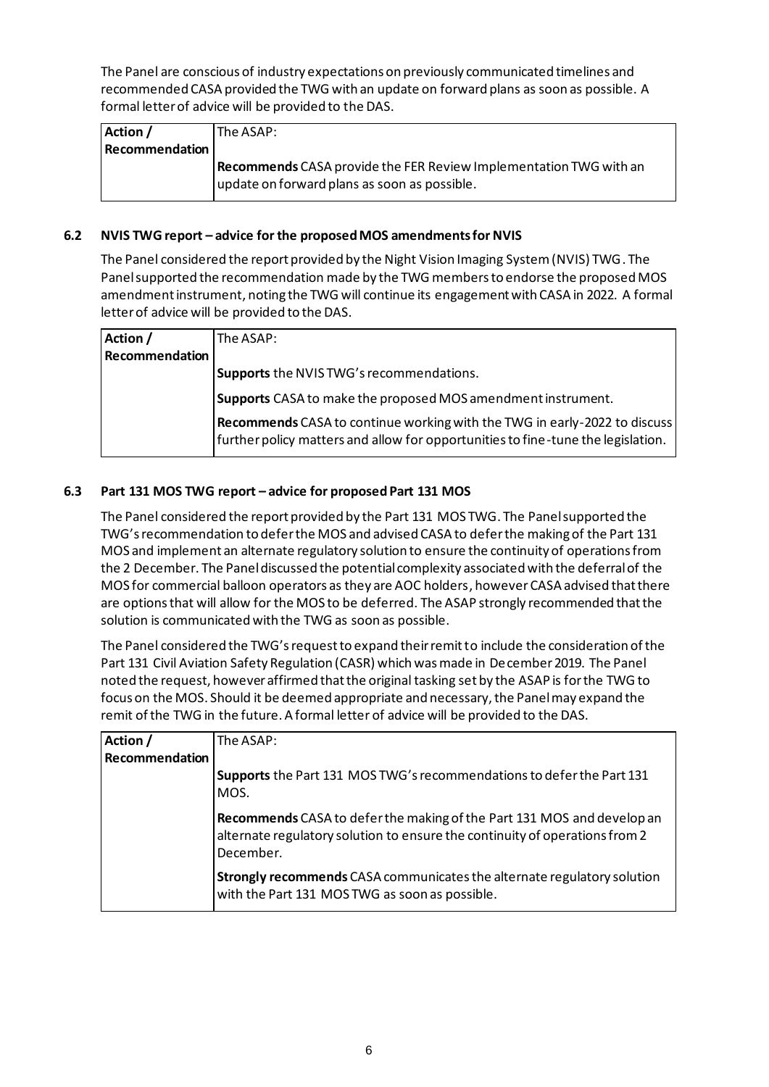The Panel are conscious of industry expectations on previously communicated timelines and recommended CASA provided the TWG with an update on forward plans as soon as possible. A formal letter of advice will be provided to the DAS.

| Action /              | The ASAP:                                                                |
|-----------------------|--------------------------------------------------------------------------|
| <b>Recommendation</b> |                                                                          |
|                       | <b>Recommends</b> CASA provide the FER Review Implementation TWG with an |
|                       | update on forward plans as soon as possible.                             |

# **6.2 NVIS TWG report – advice for the proposed MOS amendments for NVIS**

The Panel considered the report provided by the Night Vision Imaging System (NVIS) TWG. The Panel supported the recommendation made by the TWG members to endorse the proposed MOS amendment instrument, noting the TWG will continue its engagement with CASA in 2022. A formal letter of advice will be provided to the DAS.

| Action /       | The ASAP:                                                                                                                                                     |
|----------------|---------------------------------------------------------------------------------------------------------------------------------------------------------------|
| Recommendation |                                                                                                                                                               |
|                | Supports the NVIS TWG's recommendations.                                                                                                                      |
|                | Supports CASA to make the proposed MOS amendment instrument.                                                                                                  |
|                | Recommends CASA to continue working with the TWG in early-2022 to discuss<br>further policy matters and allow for opportunities to fine-tune the legislation. |

# **6.3 Part 131 MOS TWG report – advice for proposed Part 131 MOS**

The Panel considered the report provided by the Part 131 MOS TWG. The Panel supported the TWG's recommendation to defer the MOS and advised CASA to defer the making of the Part 131 MOS and implement an alternate regulatory solution to ensure the continuity of operations from the 2 December. The Panel discussed the potential complexity associated with the deferral of the MOS for commercial balloon operators as they are AOC holders, however CASA advised that there are options that will allow for the MOS to be deferred. The ASAP strongly recommended that the solution is communicated with the TWG as soon as possible.

The Panel considered the TWG's request to expand their remit to include the consideration of the Part 131 Civil Aviation Safety Regulation (CASR) which was made in December 2019. The Panel noted the request, however affirmed that the original tasking set by the ASAP is for the TWG to focus on the MOS. Should it be deemed appropriate and necessary, the Panel may expand the remit of the TWG in the future. A formal letter of advice will be provided to the DAS.

| Action /       | The ASAP:                                                                                                                                                          |
|----------------|--------------------------------------------------------------------------------------------------------------------------------------------------------------------|
| Recommendation |                                                                                                                                                                    |
|                | Supports the Part 131 MOS TWG's recommendations to defer the Part 131<br>MOS.                                                                                      |
|                | Recommends CASA to defer the making of the Part 131 MOS and develop an<br>alternate regulatory solution to ensure the continuity of operations from 2<br>December. |
|                | <b>Strongly recommends</b> CASA communicates the alternate regulatory solution<br>with the Part 131 MOS TWG as soon as possible.                                   |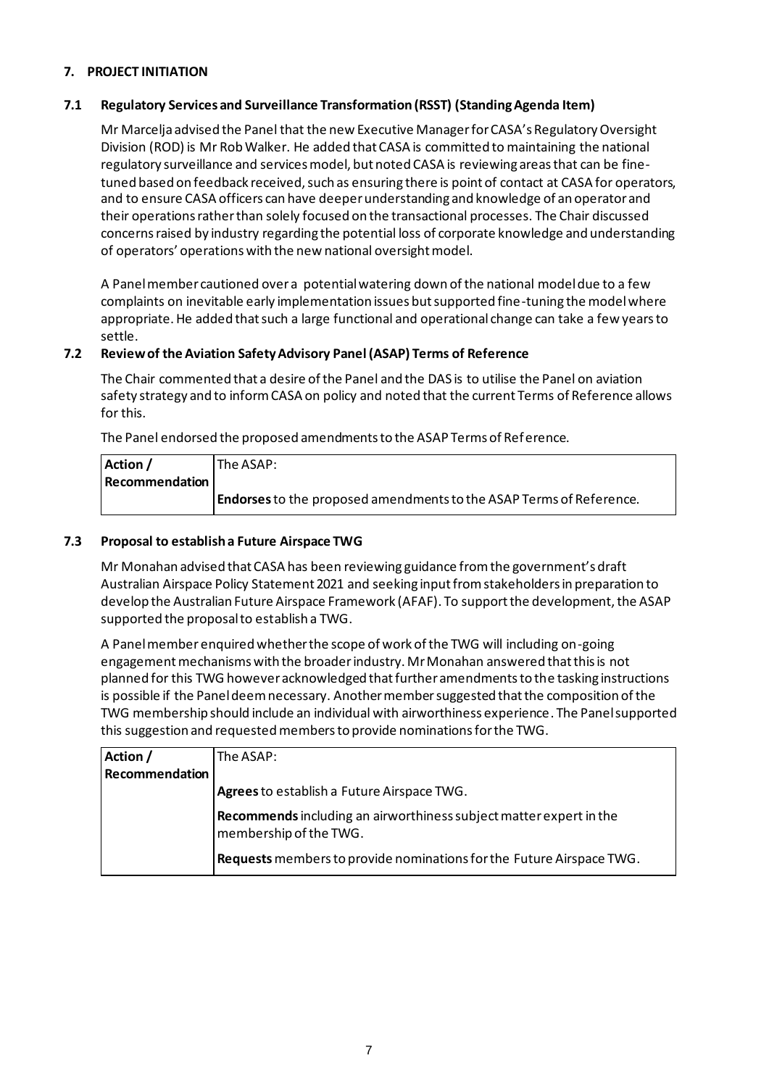# **7. PROJECT INITIATION**

# **7.1 Regulatory Services and Surveillance Transformation (RSST) (Standing Agenda Item)**

Mr Marcelja advised the Panel that the new Executive Manager for CASA's Regulatory Oversight Division (ROD) is Mr Rob Walker. He added that CASA is committed to maintaining the national regulatory surveillance and services model, but noted CASA is reviewing areas that can be finetuned based on feedback received, such as ensuring there is point of contact at CASA for operators, and to ensure CASA officers can have deeper understanding and knowledge of an operator and their operations rather than solely focused on the transactional processes. The Chair discussed concerns raised by industry regarding the potential loss of corporate knowledge and understanding of operators' operations with the new national oversight model.

A Panel member cautioned over a potential watering down of the national model due to a few complaints on inevitable early implementation issues but supported fine-tuning the model where appropriate. He added that such a large functional and operational change can take a few years to settle.

# **7.2 Review of the Aviation Safety Advisory Panel (ASAP) Terms of Reference**

The Chair commented that a desire of the Panel and the DAS is to utilise the Panel on aviation safety strategy and to inform CASA on policy and noted that the current Terms of Reference allows for this.

The Panel endorsed the proposed amendments to the ASAP Terms of Reference.

| Action /       | The ASAP:                                                                  |
|----------------|----------------------------------------------------------------------------|
| Recommendation |                                                                            |
|                | <b>Endorses</b> to the proposed amendments to the ASAP Terms of Reference. |

# **7.3 Proposal to establish a Future Airspace TWG**

Mr Monahan advised that CASA has been reviewing guidance from the government's draft Australian Airspace Policy Statement 2021 and seeking input from stakeholders in preparation to develop the Australian Future Airspace Framework (AFAF). To support the development, the ASAP supported the proposal to establish a TWG.

A Panel member enquired whether the scope of work of the TWG will including on-going engagement mechanisms with the broader industry. Mr Monahan answered that this is not planned for this TWG however acknowledged that further amendments to the tasking instructions is possible if the Panel deem necessary. Another member suggested that the composition of the TWG membership should include an individual with airworthiness experience. The Panel supported this suggestion and requested members to provide nominations for the TWG.

| Action /       | The ASAP:                                                                                    |
|----------------|----------------------------------------------------------------------------------------------|
| Recommendation |                                                                                              |
|                | Agrees to establish a Future Airspace TWG.                                                   |
|                | Recommends including an airworthiness subject matter expert in the<br>membership of the TWG. |
|                | Requests members to provide nominations for the Future Airspace TWG.                         |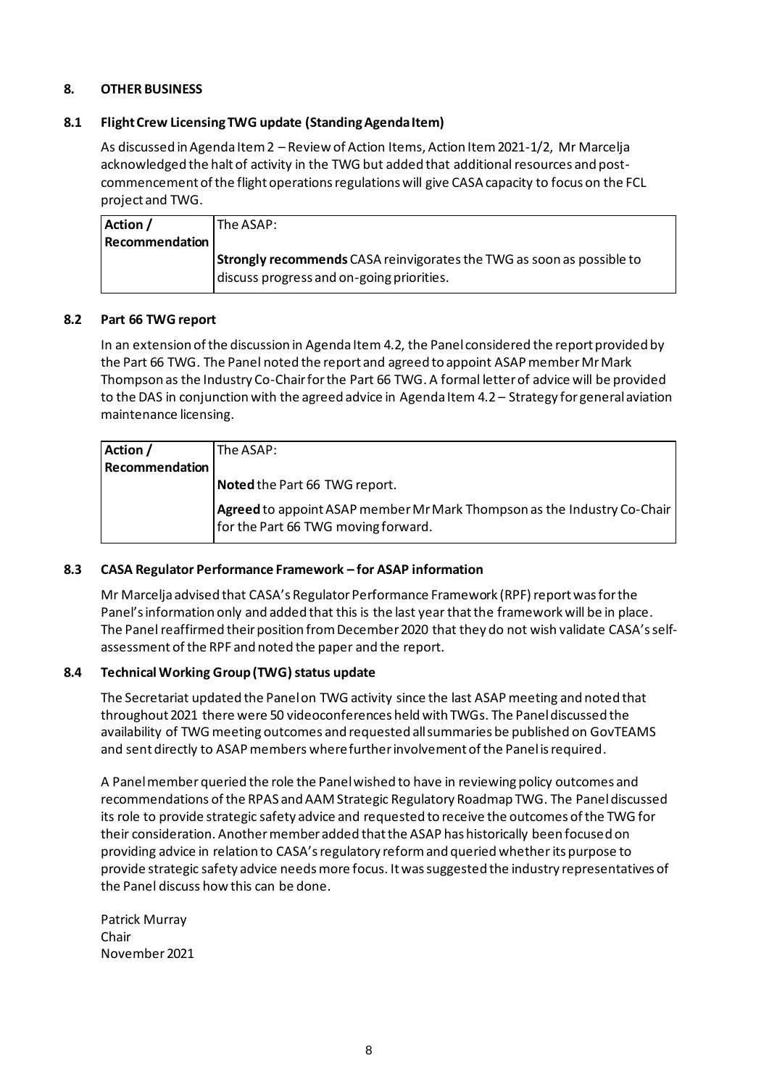# **8. OTHER BUSINESS**

#### **8.1 Flight Crew Licensing TWG update (Standing Agenda Item)**

As discussed in Agenda Item 2 – Review of Action Items, Action Item 2021-1/2, Mr Marcelja acknowledged the halt of activity in the TWG but added that additional resources and postcommencement of the flight operations regulations will give CASA capacity to focus on the FCL project and TWG.

| Action /              | lThe ASAP: l                                                                 |
|-----------------------|------------------------------------------------------------------------------|
| <b>Recommendation</b> |                                                                              |
|                       | <b>Strongly recommends</b> CASA reinvigorates the TWG as soon as possible to |
|                       | discuss progress and on-going priorities.                                    |

#### **8.2 Part 66 TWG report**

In an extension of the discussion in Agenda Item 4.2, the Panel considered the report provided by the Part 66 TWG. The Panel noted the report and agreed to appoint ASAP member Mr Mark Thompson as the Industry Co-Chair for the Part 66 TWG. A formal letter of advice will be provided to the DAS in conjunction with the agreed advice in Agenda Item 4.2 – Strategy for general aviation maintenance licensing.

| Action /       | The ASAP:                                                                                                      |
|----------------|----------------------------------------------------------------------------------------------------------------|
| Recommendation |                                                                                                                |
|                | Noted the Part 66 TWG report.                                                                                  |
|                | Agreed to appoint ASAP member Mr Mark Thompson as the Industry Co-Chair<br>for the Part 66 TWG moving forward. |

# **8.3 CASA Regulator Performance Framework – for ASAP information**

Mr Marcelja advised that CASA's Regulator Performance Framework (RPF) report was for the Panel's information only and added that this is the last year that the framework will be in place. The Panel reaffirmed their position from December 2020 that they do not wish validate CASA's selfassessment of the RPF and noted the paper and the report.

#### 8.4 Technical Working Group (TWG) status update

The Secretariat updated the Panel on TWG activity since the last ASAP meeting and noted that throughout 2021 there were 50 videoconferences held with TWGs. The Panel discussed the availability of TWG meeting outcomes and requested all summaries be published on GovTEAMS and sent directly to ASAP members where further involvement of the Panel is required.

A Panel member queried the role the Panel wished to have in reviewing policy outcomes and recommendations of the RPAS and AAM Strategic Regulatory Roadmap TWG. The Panel discussed its role to provide strategic safety advice and requested to receive the outcomes of the TWG for their consideration. Another member added that the ASAP has historically been focused on providing advice in relation to CASA'sregulatory reform and queried whether its purpose to provide strategic safety advice needs more focus. It wassuggested the industry representatives of the Panel discuss how this can be done.

Patrick Murray Chair November 2021